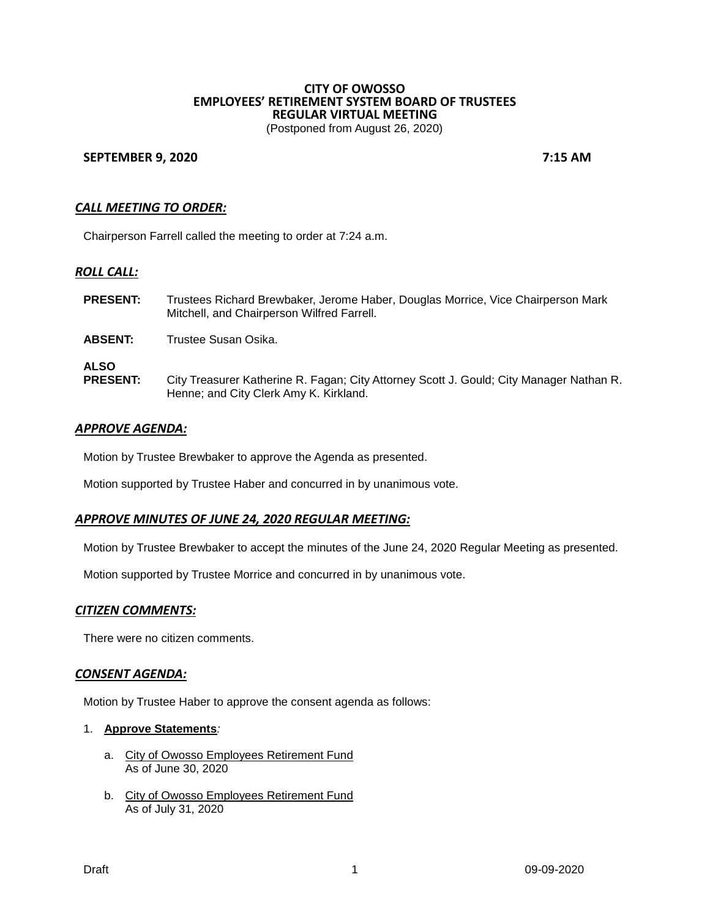# **CITY OF OWOSSO EMPLOYEES' RETIREMENT SYSTEM BOARD OF TRUSTEES REGULAR VIRTUAL MEETING**

(Postponed from August 26, 2020)

### **SEPTEMBER 9, 2020 7:15 AM**

# *CALL MEETING TO ORDER:*

Chairperson Farrell called the meeting to order at 7:24 a.m.

#### *ROLL CALL:*

| <b>PRESENT:</b>                | Trustees Richard Brewbaker, Jerome Haber, Douglas Morrice, Vice Chairperson Mark<br>Mitchell, and Chairperson Wilfred Farrell.    |
|--------------------------------|-----------------------------------------------------------------------------------------------------------------------------------|
| <b>ABSENT:</b>                 | Trustee Susan Osika.                                                                                                              |
| <b>ALSO</b><br><b>PRESENT:</b> | City Treasurer Katherine R. Fagan; City Attorney Scott J. Gould; City Manager Nathan R.<br>Henne; and City Clerk Amy K. Kirkland. |

### *APPROVE AGENDA:*

Motion by Trustee Brewbaker to approve the Agenda as presented.

Motion supported by Trustee Haber and concurred in by unanimous vote.

# *APPROVE MINUTES OF JUNE 24, 2020 REGULAR MEETING:*

Motion by Trustee Brewbaker to accept the minutes of the June 24, 2020 Regular Meeting as presented.

Motion supported by Trustee Morrice and concurred in by unanimous vote.

#### *CITIZEN COMMENTS:*

There were no citizen comments.

#### *CONSENT AGENDA:*

Motion by Trustee Haber to approve the consent agenda as follows:

### 1. **Approve Statements***:*

- a. City of Owosso Employees Retirement Fund As of June 30, 2020
- b. City of Owosso Employees Retirement Fund As of July 31, 2020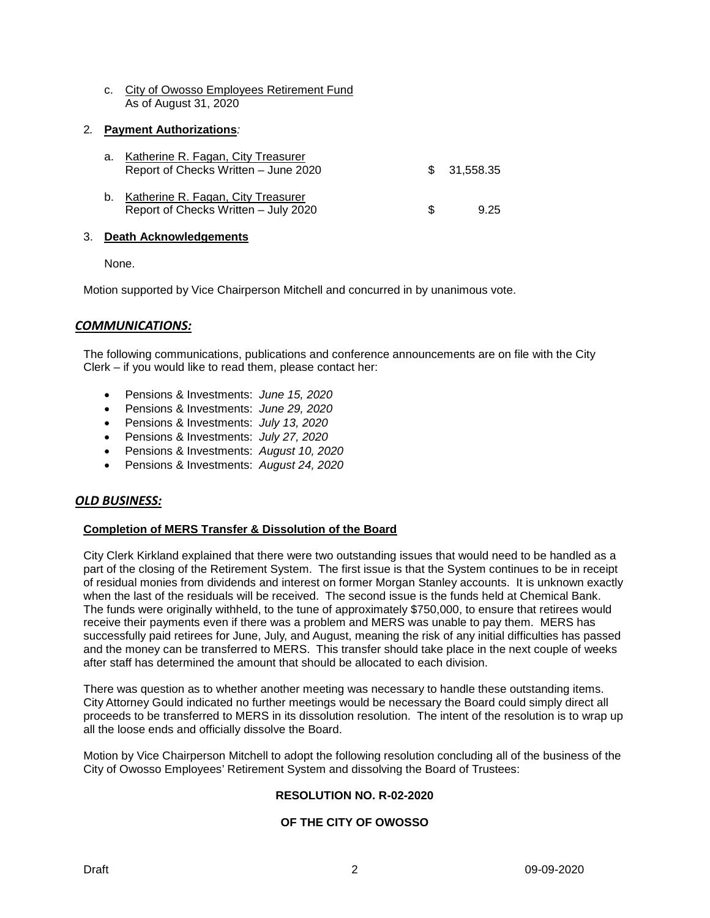c. City of Owosso Employees Retirement Fund As of August 31, 2020

# 2*.* **Payment Authorizations***:*

| a. Katherine R. Fagan, City Treasurer<br>Report of Checks Written - June 2020 |    | \$ 31,558,35 |
|-------------------------------------------------------------------------------|----|--------------|
| b. Katherine R. Fagan, City Treasurer<br>Report of Checks Written - July 2020 | Æ. | 9.25         |

### 3. **Death Acknowledgements**

None.

Motion supported by Vice Chairperson Mitchell and concurred in by unanimous vote.

# *COMMUNICATIONS:*

The following communications, publications and conference announcements are on file with the City Clerk – if you would like to read them, please contact her:

- Pensions & Investments: *June 15, 2020*
- Pensions & Investments: *June 29, 2020*
- Pensions & Investments: *July 13, 2020*
- Pensions & Investments: *July 27, 2020*
- Pensions & Investments: *August 10, 2020*
- Pensions & Investments: *August 24, 2020*

# *OLD BUSINESS:*

# **Completion of MERS Transfer & Dissolution of the Board**

City Clerk Kirkland explained that there were two outstanding issues that would need to be handled as a part of the closing of the Retirement System. The first issue is that the System continues to be in receipt of residual monies from dividends and interest on former Morgan Stanley accounts. It is unknown exactly when the last of the residuals will be received. The second issue is the funds held at Chemical Bank. The funds were originally withheld, to the tune of approximately \$750,000, to ensure that retirees would receive their payments even if there was a problem and MERS was unable to pay them. MERS has successfully paid retirees for June, July, and August, meaning the risk of any initial difficulties has passed and the money can be transferred to MERS. This transfer should take place in the next couple of weeks after staff has determined the amount that should be allocated to each division.

There was question as to whether another meeting was necessary to handle these outstanding items. City Attorney Gould indicated no further meetings would be necessary the Board could simply direct all proceeds to be transferred to MERS in its dissolution resolution. The intent of the resolution is to wrap up all the loose ends and officially dissolve the Board.

Motion by Vice Chairperson Mitchell to adopt the following resolution concluding all of the business of the City of Owosso Employees' Retirement System and dissolving the Board of Trustees:

# **RESOLUTION NO. R-02-2020**

# **OF THE CITY OF OWOSSO**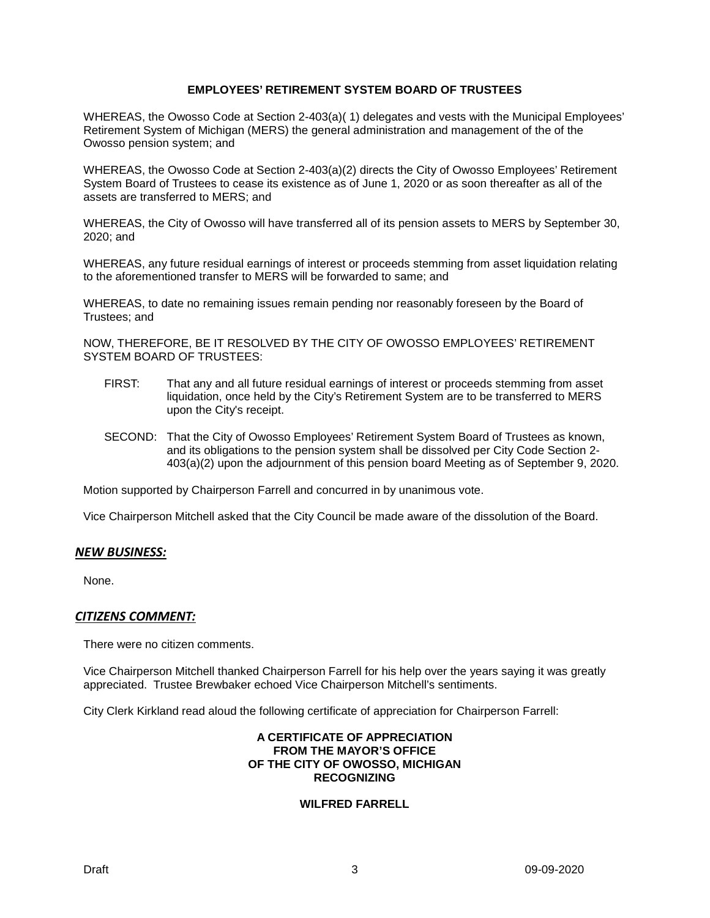# **EMPLOYEES' RETIREMENT SYSTEM BOARD OF TRUSTEES**

WHEREAS, the Owosso Code at Section 2-403(a)( 1) delegates and vests with the Municipal Employees' Retirement System of Michigan (MERS) the general administration and management of the of the Owosso pension system; and

WHEREAS, the Owosso Code at Section 2-403(a)(2) directs the City of Owosso Employees' Retirement System Board of Trustees to cease its existence as of June 1, 2020 or as soon thereafter as all of the assets are transferred to MERS; and

WHEREAS, the City of Owosso will have transferred all of its pension assets to MERS by September 30, 2020; and

WHEREAS, any future residual earnings of interest or proceeds stemming from asset liquidation relating to the aforementioned transfer to MERS will be forwarded to same; and

WHEREAS, to date no remaining issues remain pending nor reasonably foreseen by the Board of Trustees; and

NOW, THEREFORE, BE IT RESOLVED BY THE CITY OF OWOSSO EMPLOYEES' RETIREMENT SYSTEM BOARD OF TRUSTEES:

- FIRST: That any and all future residual earnings of interest or proceeds stemming from asset liquidation, once held by the City's Retirement System are to be transferred to MERS upon the City's receipt.
- SECOND: That the City of Owosso Employees' Retirement System Board of Trustees as known, and its obligations to the pension system shall be dissolved per City Code Section 2- 403(a)(2) upon the adjournment of this pension board Meeting as of September 9, 2020.

Motion supported by Chairperson Farrell and concurred in by unanimous vote.

Vice Chairperson Mitchell asked that the City Council be made aware of the dissolution of the Board.

#### *NEW BUSINESS:*

None.

#### *CITIZENS COMMENT:*

There were no citizen comments.

Vice Chairperson Mitchell thanked Chairperson Farrell for his help over the years saying it was greatly appreciated. Trustee Brewbaker echoed Vice Chairperson Mitchell's sentiments.

City Clerk Kirkland read aloud the following certificate of appreciation for Chairperson Farrell:

#### **A CERTIFICATE OF APPRECIATION FROM THE MAYOR'S OFFICE OF THE CITY OF OWOSSO, MICHIGAN RECOGNIZING**

### **WILFRED FARRELL**